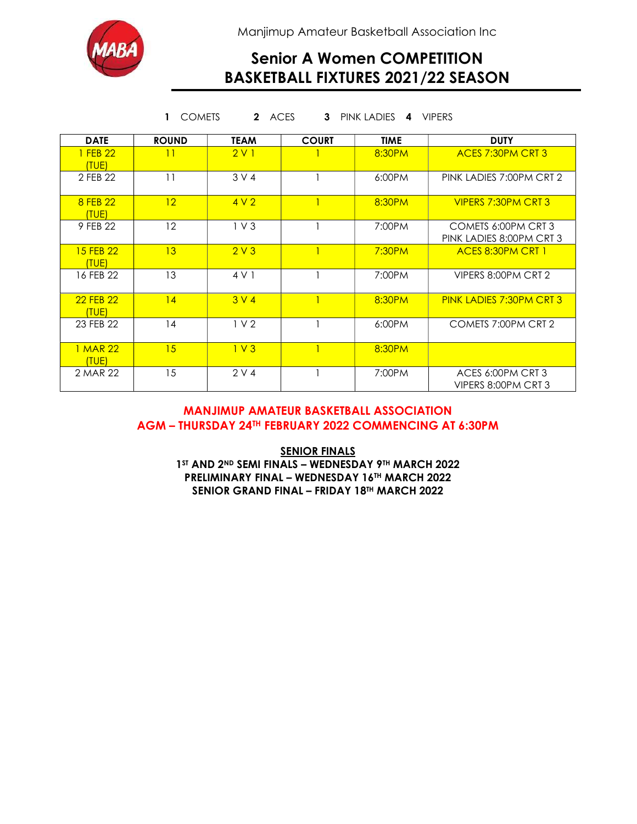

Manjimup Amateur Basketball Association Inc

## Senior A Women COMPETITION BASKETBALL FIXTURES 2021/22 SEASON

| ACES<br><b>PINK LADIES</b><br><b>VIPERS</b><br><b>COMETS</b><br>$\mathbf{2}$<br>3<br>1<br>4 |                 |                  |              |             |                                                 |
|---------------------------------------------------------------------------------------------|-----------------|------------------|--------------|-------------|-------------------------------------------------|
| <b>DATE</b>                                                                                 | <b>ROUND</b>    | <b>TEAM</b>      | <b>COURT</b> | <b>TIME</b> | <b>DUTY</b>                                     |
| 1 FEB 22<br>(TUE)                                                                           | 11              | 2V1              |              | 8:30PM      | <b>ACES 7:30PM CRT 3</b>                        |
| 2 FEB 22                                                                                    | 11              | 3 V 4            |              | 6:00PM      | PINK LADIES 7:00PM CRT 2                        |
| 8 FEB 22<br>(TUE)                                                                           | 12 <sup>2</sup> | 4V2              |              | 8:30PM      | VIPERS 7:30PM CRT 3                             |
| 9 FEB 22                                                                                    | 12              | 1 <sub>V</sub> 3 |              | 7:00PM      | COMETS 6:00PM CRT 3<br>PINK LADIES 8:00PM CRT 3 |
| 15 FEB 22<br>(TUE)                                                                          | 13              | 2V3              | $\mathbf{1}$ | 7:30PM      | <b>ACES 8:30PM CRT 1</b>                        |
| 16 FEB 22                                                                                   | 13              | 4 V 1            |              | 7:00PM      | VIPERS 8:00PM CRT 2                             |
| 22 FEB 22<br>(TUE)                                                                          | 14              | 3 V 4            | 1            | 8:30PM      | <b>PINK LADIES 7:30PM CRT 3</b>                 |
| 23 FEB 22                                                                                   | 14              | 1 <sub>2</sub>   |              | 6:00PM      | COMETS 7:00PM CRT 2                             |
| 1 MAR 22<br>(TUE)                                                                           | 15              | 1 <sup>V</sup> 3 | $\mathbf{1}$ | 8:30PM      |                                                 |
| 2 MAR 22                                                                                    | 15              | 2 V 4            |              | 7:00PM      | ACES 6:00PM CRT 3<br>VIPERS 8:00PM CRT 3        |

#### MANJIMUP AMATEUR BASKETBALL ASSOCIATION AGM – THURSDAY 24TH FEBRUARY 2022 COMMENCING AT 6:30PM

**SENIOR FINALS** 1ST AND 2ND SEMI FINALS - WEDNESDAY 9TH MARCH 2022 PRELIMINARY FINAL – WEDNESDAY 16TH MARCH 2022 SENIOR GRAND FINAL - FRIDAY 18TH MARCH 2022